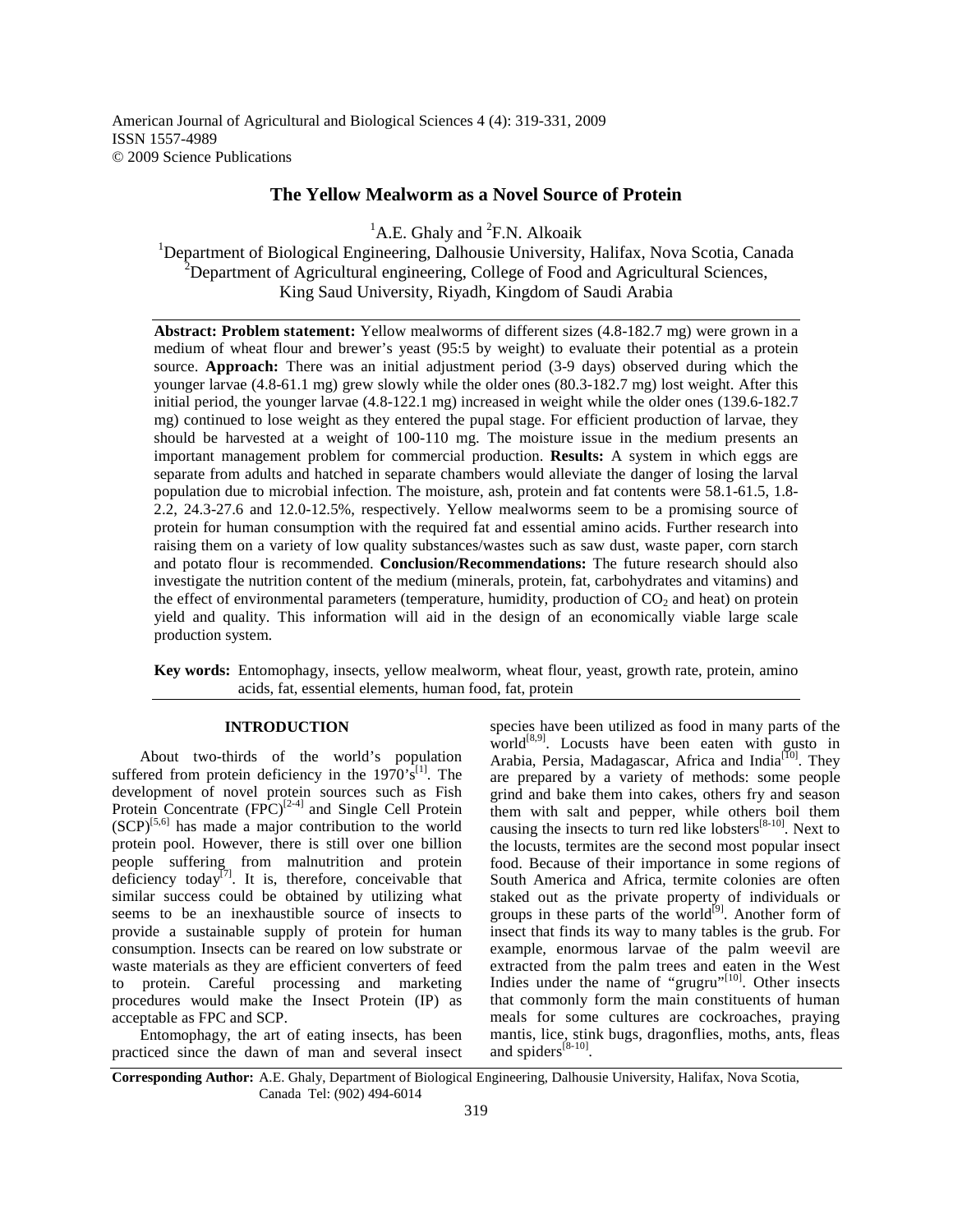American Journal of Agricultural and Biological Sciences 4 (4): 319-331, 2009 ISSN 1557-4989 © 2009 Science Publications

## **The Yellow Mealworm as a Novel Source of Protein**

 ${}^{1}$ A.E. Ghaly and  ${}^{2}$ F.N. Alkoaik

<sup>1</sup>Department of Biological Engineering, Dalhousie University, Halifax, Nova Scotia, Canada <sup>2</sup>Department of Agricultural engineering, College of Food and Agricultural Sciences, King Saud University, Riyadh, Kingdom of Saudi Arabia

**Abstract: Problem statement:** Yellow mealworms of different sizes (4.8-182.7 mg) were grown in a medium of wheat flour and brewer's yeast (95:5 by weight) to evaluate their potential as a protein source. **Approach:** There was an initial adjustment period (3-9 days) observed during which the younger larvae (4.8-61.1 mg) grew slowly while the older ones (80.3-182.7 mg) lost weight. After this initial period, the younger larvae (4.8-122.1 mg) increased in weight while the older ones (139.6-182.7 mg) continued to lose weight as they entered the pupal stage. For efficient production of larvae, they should be harvested at a weight of 100-110 mg. The moisture issue in the medium presents an important management problem for commercial production. **Results:** A system in which eggs are separate from adults and hatched in separate chambers would alleviate the danger of losing the larval population due to microbial infection. The moisture, ash, protein and fat contents were 58.1-61.5, 1.8- 2.2, 24.3-27.6 and 12.0-12.5%, respectively. Yellow mealworms seem to be a promising source of protein for human consumption with the required fat and essential amino acids. Further research into raising them on a variety of low quality substances/wastes such as saw dust, waste paper, corn starch and potato flour is recommended. **Conclusion/Recommendations:** The future research should also investigate the nutrition content of the medium (minerals, protein, fat, carbohydrates and vitamins) and the effect of environmental parameters (temperature, humidity, production of  $CO<sub>2</sub>$  and heat) on protein yield and quality. This information will aid in the design of an economically viable large scale production system.

**Key words:** Entomophagy, insects, yellow mealworm, wheat flour, yeast, growth rate, protein, amino acids, fat, essential elements, human food, fat, protein

## **INTRODUCTION**

 About two-thirds of the world's population suffered from protein deficiency in the  $1970's$ <sup>[1]</sup>. The development of novel protein sources such as Fish Protein Concentrate  $(FPC)^{[2-4]}$  and Single Cell Protein  $(SCP)^{[5,6]}$  has made a major contribution to the world protein pool. However, there is still over one billion people suffering from malnutrition and protein deficiency today<sup>[7]</sup>. It is, therefore, conceivable that similar success could be obtained by utilizing what seems to be an inexhaustible source of insects to provide a sustainable supply of protein for human consumption. Insects can be reared on low substrate or waste materials as they are efficient converters of feed to protein. Careful processing and marketing procedures would make the Insect Protein (IP) as acceptable as FPC and SCP.

 Entomophagy, the art of eating insects, has been practiced since the dawn of man and several insect species have been utilized as food in many parts of the  $world^{[8,9]}$ . Locusts have been eaten with gusto in Arabia, Persia, Madagascar, Africa and India<sup>[10]</sup>. They are prepared by a variety of methods: some people grind and bake them into cakes, others fry and season them with salt and pepper, while others boil them causing the insects to turn red like lobsters<sup>[8-10]</sup>. Next to the locusts, termites are the second most popular insect food. Because of their importance in some regions of South America and Africa, termite colonies are often staked out as the private property of individuals or groups in these parts of the world<sup>[9]</sup>. Another form of insect that finds its way to many tables is the grub. For example, enormous larvae of the palm weevil are extracted from the palm trees and eaten in the West Indies under the name of "grugru" $[10]$ . Other insects that commonly form the main constituents of human meals for some cultures are cockroaches, praying mantis, lice, stink bugs, dragonflies, moths, ants, fleas and spiders $^{[8-10]}$ .

**Corresponding Author:** A.E. Ghaly, Department of Biological Engineering, Dalhousie University, Halifax, Nova Scotia, Canada Tel: (902) 494-6014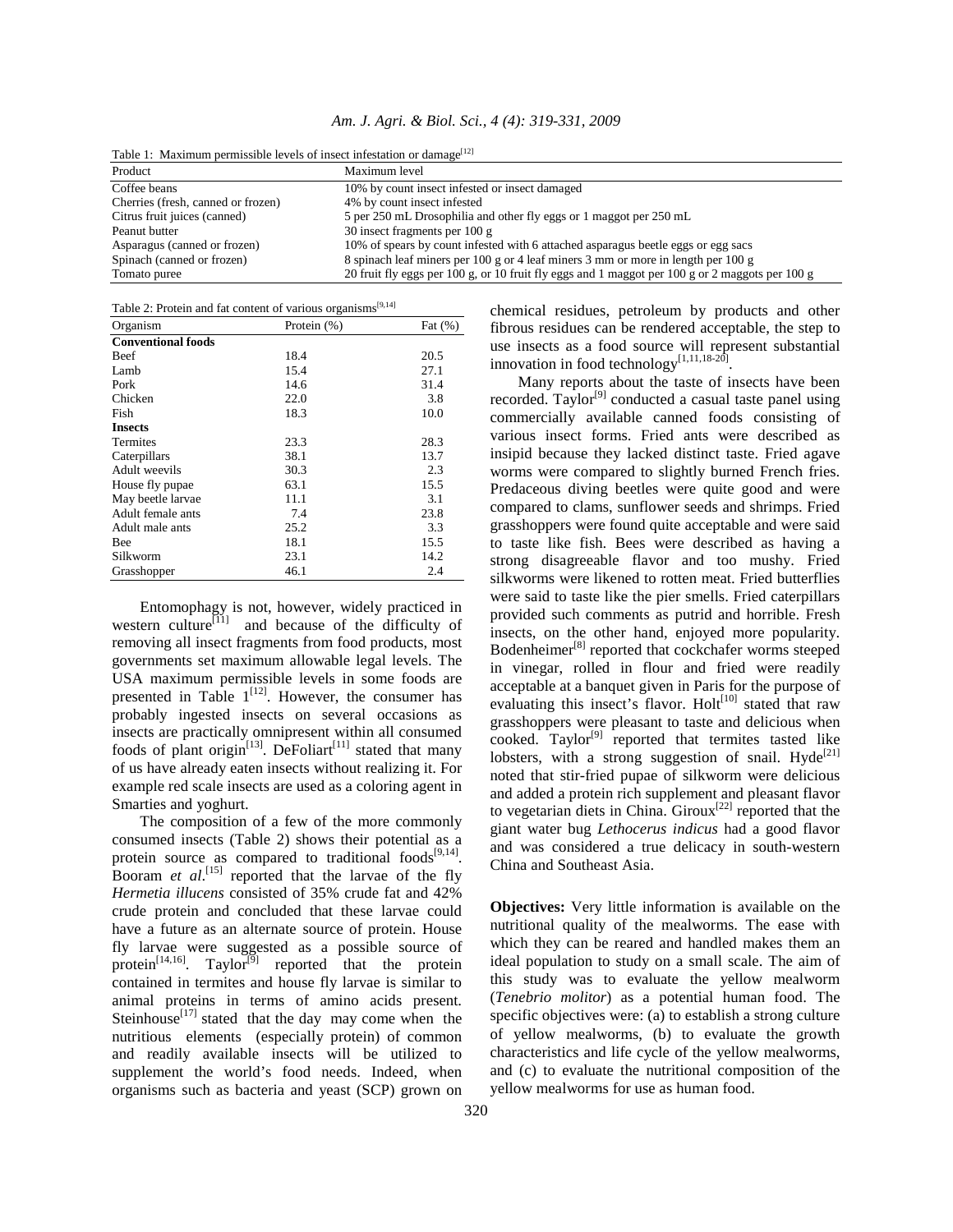*Am. J. Agri. & Biol. Sci., 4 (4): 319-331, 2009* 

| Table 1: Maximum permissible levels of insect infestation or damage <sup>rrel</sup> |                                                                                                 |  |  |  |
|-------------------------------------------------------------------------------------|-------------------------------------------------------------------------------------------------|--|--|--|
| Product                                                                             | Maximum level                                                                                   |  |  |  |
| Coffee beans                                                                        | 10% by count insect infested or insect damaged                                                  |  |  |  |
| Cherries (fresh, canned or frozen)                                                  | 4% by count insect infested                                                                     |  |  |  |
| Citrus fruit juices (canned)                                                        | 5 per 250 mL Drosophilia and other fly eggs or 1 maggot per 250 mL                              |  |  |  |
| Peanut butter                                                                       | 30 insect fragments per $100 g$                                                                 |  |  |  |
| Asparagus (canned or frozen)                                                        | 10% of spears by count infested with 6 attached asparagus beetle eggs or egg sacs               |  |  |  |
| Spinach (canned or frozen)                                                          | 8 spinach leaf miners per 100 g or 4 leaf miners 3 mm or more in length per 100 g               |  |  |  |
| Tomato puree                                                                        | 20 fruit fly eggs per 100 g, or 10 fruit fly eggs and 1 maggot per 100 g or 2 maggots per 100 g |  |  |  |

Table 1: Maximum permissible levels of insect infestation or damage<sup>[12]</sup>

| Table 2: Protein and fat content of various organisms <sup>[9,14]</sup> |  |  |  |  |  |
|-------------------------------------------------------------------------|--|--|--|--|--|
|-------------------------------------------------------------------------|--|--|--|--|--|

| Organism                  | Protein (%) | Fat $(\% )$ |
|---------------------------|-------------|-------------|
| <b>Conventional foods</b> |             |             |
| Beef                      | 18.4        | 20.5        |
| Lamb                      | 15.4        | 27.1        |
| Pork                      | 14.6        | 31.4        |
| Chicken                   | 22.0        | 3.8         |
| Fish                      | 18.3        | 10.0        |
| <b>Insects</b>            |             |             |
| Termites                  | 23.3        | 28.3        |
| Caterpillars              | 38.1        | 13.7        |
| Adult weevils             | 30.3        | 2.3         |
| House fly pupae           | 63.1        | 15.5        |
| May beetle larvae         | 11.1        | 3.1         |
| Adult female ants         | 7.4         | 23.8        |
| Adult male ants           | 25.2        | 3.3         |
| <b>Bee</b>                | 18.1        | 15.5        |
| Silkworm                  | 23.1        | 14.2        |
| Grasshopper               | 46.1        | 2.4         |

 Entomophagy is not, however, widely practiced in western culture $\begin{bmatrix} 1 & 0 & 0 \\ 1 & 0 & 1 \end{bmatrix}$  and because of the difficulty of removing all insect fragments from food products, most governments set maximum allowable legal levels. The USA maximum permissible levels in some foods are presented in Table  $1^{[12]}$ . However, the consumer has probably ingested insects on several occasions as insects are practically omnipresent within all consumed foods of plant origin<sup>[13]</sup>. DeFoliart<sup>[11]</sup> stated that many of us have already eaten insects without realizing it. For example red scale insects are used as a coloring agent in Smarties and yoghurt.

 The composition of a few of the more commonly consumed insects (Table 2) shows their potential as a protein source as compared to traditional foods $[9,14]$ . Booram *et al.*<sup>[15]</sup> reported that the larvae of the fly *Hermetia illucens* consisted of 35% crude fat and 42% crude protein and concluded that these larvae could have a future as an alternate source of protein. House fly larvae were suggested as a possible source of protein<sup>[14,16]</sup>. Taylor<sup>[9]</sup> reported that the protein contained in termites and house fly larvae is similar to animal proteins in terms of amino acids present. Steinhouse<sup>[17]</sup> stated that the day may come when the nutritious elements (especially protein) of common and readily available insects will be utilized to supplement the world's food needs. Indeed, when organisms such as bacteria and yeast (SCP) grown on

chemical residues, petroleum by products and other fibrous residues can be rendered acceptable, the step to use insects as a food source will represent substantial innovation in food technology $[1,11,18-20]$ .

 Many reports about the taste of insects have been recorded. Taylor<sup>[9]</sup> conducted a casual taste panel using commercially available canned foods consisting of various insect forms. Fried ants were described as insipid because they lacked distinct taste. Fried agave worms were compared to slightly burned French fries. Predaceous diving beetles were quite good and were compared to clams, sunflower seeds and shrimps. Fried grasshoppers were found quite acceptable and were said to taste like fish. Bees were described as having a strong disagreeable flavor and too mushy. Fried silkworms were likened to rotten meat. Fried butterflies were said to taste like the pier smells. Fried caterpillars provided such comments as putrid and horrible. Fresh insects, on the other hand, enjoyed more popularity. Bodenheimer<sup>[8]</sup> reported that cockchafer worms steeped in vinegar, rolled in flour and fried were readily acceptable at a banquet given in Paris for the purpose of evaluating this insect's flavor.  $Holt<sup>[10]</sup>$  stated that raw grasshoppers were pleasant to taste and delicious when  $\overline{\text{cooked}}$ . Taylor<sup>[9]</sup> reported that termites tasted like lobsters, with a strong suggestion of snail. Hyde<sup>[21]</sup> noted that stir-fried pupae of silkworm were delicious and added a protein rich supplement and pleasant flavor to vegetarian diets in China. Giroux<sup>[22]</sup> reported that the giant water bug *Lethocerus indicus* had a good flavor and was considered a true delicacy in south-western China and Southeast Asia.

**Objectives:** Very little information is available on the nutritional quality of the mealworms. The ease with which they can be reared and handled makes them an ideal population to study on a small scale. The aim of this study was to evaluate the yellow mealworm (*Tenebrio molitor*) as a potential human food. The specific objectives were: (a) to establish a strong culture of yellow mealworms, (b) to evaluate the growth characteristics and life cycle of the yellow mealworms, and (c) to evaluate the nutritional composition of the yellow mealworms for use as human food.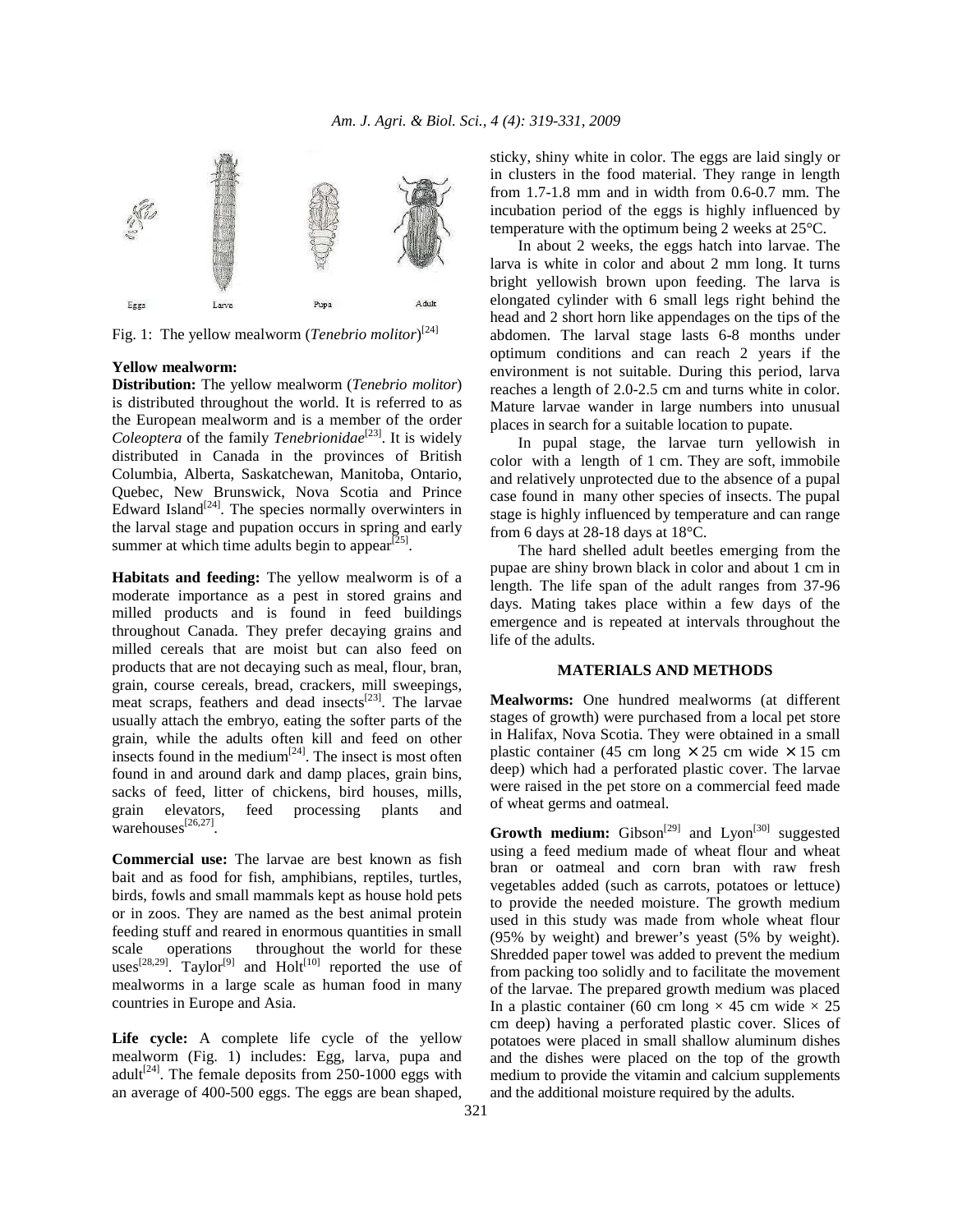

Fig. 1: The yellow mealworm (*Tenebrio molitor*)<sup>[24]</sup>

## **Yellow mealworm:**

**Distribution:** The yellow mealworm (*Tenebrio molitor*) is distributed throughout the world. It is referred to as the European mealworm and is a member of the order *Coleoptera* of the family *Tenebrionidae*<sup>[23]</sup>. It is widely distributed in Canada in the provinces of British Columbia, Alberta, Saskatchewan, Manitoba, Ontario, Quebec, New Brunswick, Nova Scotia and Prince Edward Island<sup>[24]</sup>. The species normally overwinters in the larval stage and pupation occurs in spring and early summer at which time adults begin to appear<sup>[25]</sup>.

**Habitats and feeding:** The yellow mealworm is of a moderate importance as a pest in stored grains and milled products and is found in feed buildings throughout Canada. They prefer decaying grains and milled cereals that are moist but can also feed on products that are not decaying such as meal, flour, bran, grain, course cereals, bread, crackers, mill sweepings, meat scraps, feathers and dead insects<sup>[23]</sup>. The larvae usually attach the embryo, eating the softer parts of the grain, while the adults often kill and feed on other insects found in the medium $[24]$ . The insect is most often found in and around dark and damp places, grain bins, sacks of feed, litter of chickens, bird houses, mills, grain elevators, feed processing plants and warehouses<sup>[26,27]</sup>.

**Commercial use:** The larvae are best known as fish bait and as food for fish, amphibians, reptiles, turtles, birds, fowls and small mammals kept as house hold pets or in zoos. They are named as the best animal protein feeding stuff and reared in enormous quantities in small scale operations throughout the world for these uses $[28,29]$ . Taylor<sup>[9]</sup> and Holt<sup>[10]</sup> reported the use of mealworms in a large scale as human food in many countries in Europe and Asia.

Life cycle: A complete life cycle of the yellow mealworm (Fig. 1) includes: Egg, larva, pupa and adult<sup>[24]</sup>. The female deposits from 250-1000 eggs with an average of 400-500 eggs. The eggs are bean shaped, sticky, shiny white in color. The eggs are laid singly or in clusters in the food material. They range in length from 1.7-1.8 mm and in width from 0.6-0.7 mm. The incubation period of the eggs is highly influenced by temperature with the optimum being 2 weeks at 25°C.

 In about 2 weeks, the eggs hatch into larvae. The larva is white in color and about 2 mm long. It turns bright yellowish brown upon feeding. The larva is elongated cylinder with 6 small legs right behind the head and 2 short horn like appendages on the tips of the abdomen. The larval stage lasts 6-8 months under optimum conditions and can reach 2 years if the environment is not suitable. During this period, larva reaches a length of 2.0-2.5 cm and turns white in color. Mature larvae wander in large numbers into unusual places in search for a suitable location to pupate.

 In pupal stage, the larvae turn yellowish in color with a length of 1 cm. They are soft, immobile and relatively unprotected due to the absence of a pupal case found in many other species of insects. The pupal stage is highly influenced by temperature and can range from 6 days at 28-18 days at 18°C.

 The hard shelled adult beetles emerging from the pupae are shiny brown black in color and about 1 cm in length. The life span of the adult ranges from 37-96 days. Mating takes place within a few days of the emergence and is repeated at intervals throughout the life of the adults.

#### **MATERIALS AND METHODS**

**Mealworms:** One hundred mealworms (at different stages of growth) were purchased from a local pet store in Halifax, Nova Scotia. They were obtained in a small plastic container (45 cm long  $\times$  25 cm wide  $\times$  15 cm deep) which had a perforated plastic cover. The larvae were raised in the pet store on a commercial feed made of wheat germs and oatmeal.

**Growth medium:** Gibson<sup>[29]</sup> and Lyon<sup>[30]</sup> suggested using a feed medium made of wheat flour and wheat bran or oatmeal and corn bran with raw fresh vegetables added (such as carrots, potatoes or lettuce) to provide the needed moisture. The growth medium used in this study was made from whole wheat flour (95% by weight) and brewer's yeast (5% by weight). Shredded paper towel was added to prevent the medium from packing too solidly and to facilitate the movement of the larvae. The prepared growth medium was placed In a plastic container (60 cm long  $\times$  45 cm wide  $\times$  25 cm deep) having a perforated plastic cover. Slices of potatoes were placed in small shallow aluminum dishes and the dishes were placed on the top of the growth medium to provide the vitamin and calcium supplements and the additional moisture required by the adults.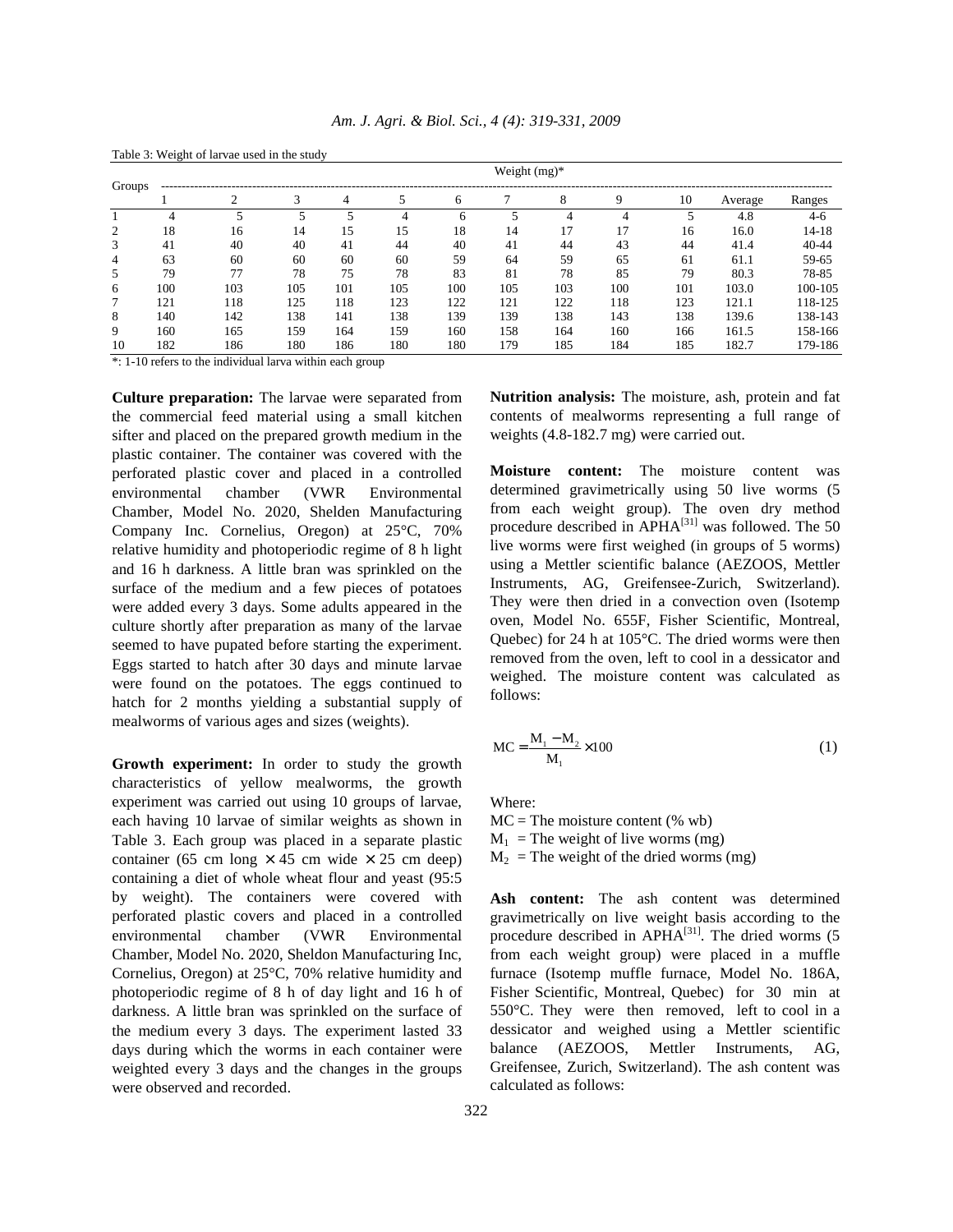| Weight $(mg)^*$<br>Groups |     |     |     |     |     |     |     |     |             |     |         |           |
|---------------------------|-----|-----|-----|-----|-----|-----|-----|-----|-------------|-----|---------|-----------|
|                           |     |     |     | 4   |     | 6   |     | 8   | $\mathbf Q$ | 10  | Average | Ranges    |
|                           | 4   |     |     |     | 4   |     |     |     |             |     | 4.8     | $4-6$     |
|                           | 18  | 16  | 14  | 15  | 15  | 18  | 14  | 17  | 17          | 16  | 16.0    | 14-18     |
|                           | 41  | 40  | 40  | 41  | 44  | 40  | 41  | 44  | 43          | 44  | 41.4    | $40 - 44$ |
|                           | 63  | 60  | 60  | 60  | 60  | 59  | 64  | 59  | 65          | 61  | 61.1    | 59-65     |
|                           | 79  | 77  | 78  | 75  | 78  | 83  | 81  | 78  | 85          | 79  | 80.3    | 78-85     |
| 6                         | 100 | 103 | 105 | 101 | 105 | 100 | 105 | 103 | 100         | 101 | 103.0   | 100-105   |
|                           | 121 | 118 | 125 | 118 | 123 | 122 | 121 | 122 | 118         | 123 | 121.1   | 118-125   |
| 8                         | 140 | 142 | 138 | 141 | 138 | 139 | 139 | 138 | 143         | 138 | 139.6   | 138-143   |
| 9                         | 160 | 165 | 159 | 164 | 159 | 160 | 158 | 164 | 160         | 166 | 161.5   | 158-166   |
| 10                        | 182 | 186 | 180 | 186 | 180 | 180 | 179 | 185 | 184         | 185 | 182.7   | 179-186   |

*Am. J. Agri. & Biol. Sci., 4 (4): 319-331, 2009* 

\*: 1-10 refers to the individual larva within each group

Table 3: Weight of larvae used in the study

**Culture preparation:** The larvae were separated from the commercial feed material using a small kitchen sifter and placed on the prepared growth medium in the plastic container. The container was covered with the perforated plastic cover and placed in a controlled environmental chamber (VWR Environmental Chamber, Model No. 2020, Shelden Manufacturing Company Inc. Cornelius, Oregon) at 25°C, 70% relative humidity and photoperiodic regime of 8 h light and 16 h darkness. A little bran was sprinkled on the surface of the medium and a few pieces of potatoes were added every 3 days. Some adults appeared in the culture shortly after preparation as many of the larvae seemed to have pupated before starting the experiment. Eggs started to hatch after 30 days and minute larvae were found on the potatoes. The eggs continued to hatch for 2 months yielding a substantial supply of mealworms of various ages and sizes (weights).

**Growth experiment:** In order to study the growth characteristics of yellow mealworms, the growth experiment was carried out using 10 groups of larvae, each having 10 larvae of similar weights as shown in Table 3. Each group was placed in a separate plastic container (65 cm long  $\times$  45 cm wide  $\times$  25 cm deep) containing a diet of whole wheat flour and yeast (95:5 by weight). The containers were covered with perforated plastic covers and placed in a controlled environmental chamber (VWR Environmental Chamber, Model No. 2020, Sheldon Manufacturing Inc, Cornelius, Oregon) at 25°C, 70% relative humidity and photoperiodic regime of 8 h of day light and 16 h of darkness. A little bran was sprinkled on the surface of the medium every 3 days. The experiment lasted 33 days during which the worms in each container were weighted every 3 days and the changes in the groups were observed and recorded.

**Nutrition analysis:** The moisture, ash, protein and fat contents of mealworms representing a full range of weights (4.8-182.7 mg) were carried out.

**Moisture content:** The moisture content was determined gravimetrically using 50 live worms (5 from each weight group). The oven dry method procedure described in APHA[31] was followed. The 50 live worms were first weighed (in groups of 5 worms) using a Mettler scientific balance (AEZOOS, Mettler Instruments, AG, Greifensee-Zurich, Switzerland). They were then dried in a convection oven (Isotemp oven, Model No. 655F, Fisher Scientific, Montreal, Quebec) for 24 h at 105°C. The dried worms were then removed from the oven, left to cool in a dessicator and weighed. The moisture content was calculated as follows:

$$
MC = \frac{M_1 - M_2}{M_1} \times 100
$$
 (1)

Where:

 $MC = The moisture content (%wb)$  $M_1$  = The weight of live worms (mg)  $M<sub>2</sub>$  = The weight of the dried worms (mg)

**Ash content:** The ash content was determined gravimetrically on live weight basis according to the procedure described in APHA $^{[31]}$ . The dried worms (5) from each weight group) were placed in a muffle furnace (Isotemp muffle furnace, Model No. 186A, Fisher Scientific, Montreal, Quebec) for 30 min at 550°C. They were then removed, left to cool in a dessicator and weighed using a Mettler scientific balance (AEZOOS, Mettler Instruments, AG, Greifensee, Zurich, Switzerland). The ash content was calculated as follows: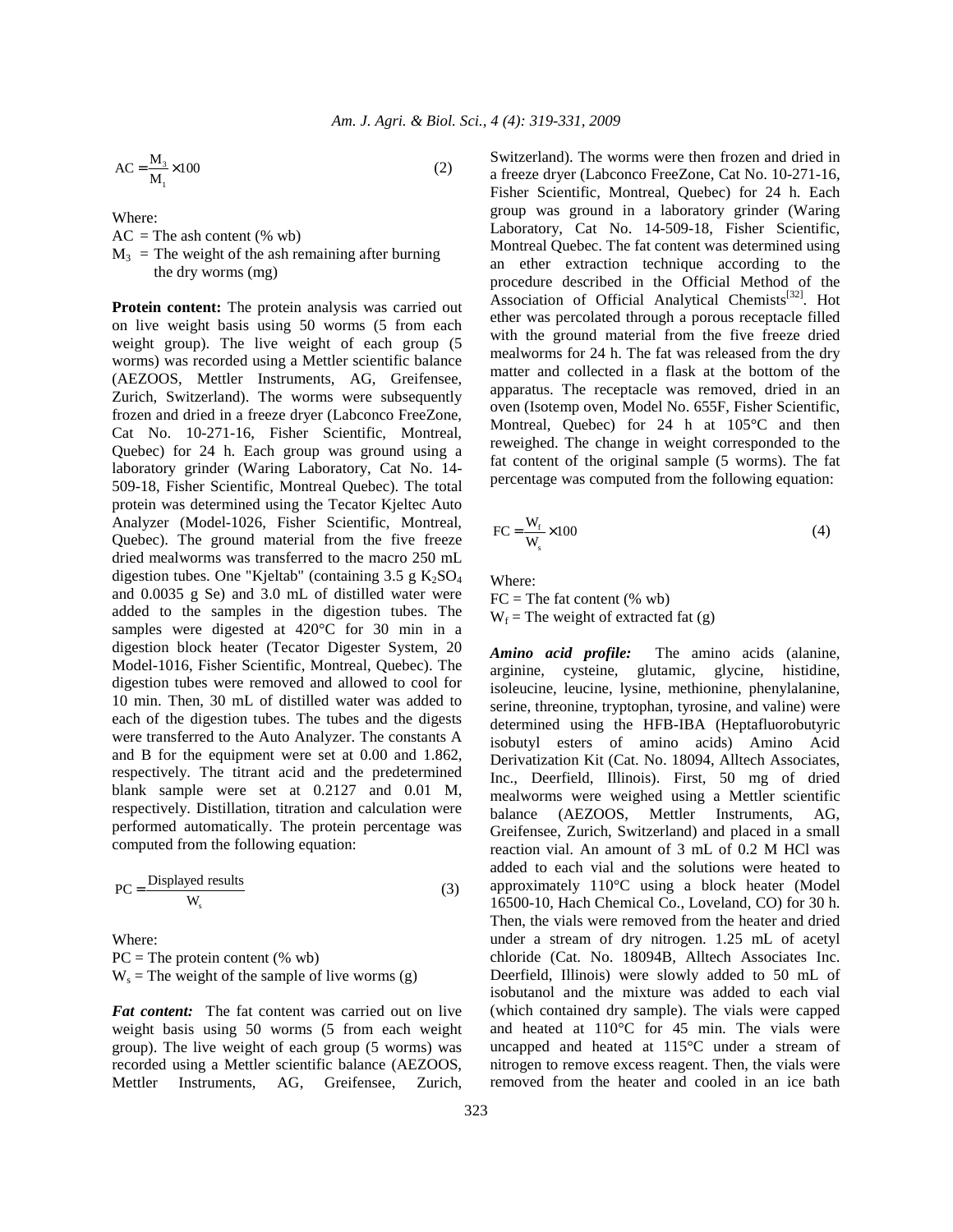$$
AC = \frac{M_3}{M_1} \times 100
$$
 (2)

Where:

 $AC = The ash content (%)$ 

 $M_3$  = The weight of the ash remaining after burning the dry worms (mg)

**Protein content:** The protein analysis was carried out on live weight basis using 50 worms (5 from each weight group). The live weight of each group (5 worms) was recorded using a Mettler scientific balance (AEZOOS, Mettler Instruments, AG, Greifensee, Zurich, Switzerland). The worms were subsequently frozen and dried in a freeze dryer (Labconco FreeZone, Cat No. 10-271-16, Fisher Scientific, Montreal, Quebec) for 24 h. Each group was ground using a laboratory grinder (Waring Laboratory, Cat No. 14- 509-18, Fisher Scientific, Montreal Quebec). The total protein was determined using the Tecator Kjeltec Auto Analyzer (Model-1026, Fisher Scientific, Montreal, Quebec). The ground material from the five freeze dried mealworms was transferred to the macro 250 mL digestion tubes. One "Kjeltab" (containing  $3.5 \text{ g } K_2SO_4$ and 0.0035 g Se) and 3.0 mL of distilled water were added to the samples in the digestion tubes. The samples were digested at 420°C for 30 min in a digestion block heater (Tecator Digester System, 20 Model-1016, Fisher Scientific, Montreal, Quebec). The digestion tubes were removed and allowed to cool for 10 min. Then, 30 mL of distilled water was added to each of the digestion tubes. The tubes and the digests were transferred to the Auto Analyzer. The constants A and B for the equipment were set at 0.00 and 1.862, respectively. The titrant acid and the predetermined blank sample were set at 0.2127 and 0.01 M, respectively. Distillation, titration and calculation were performed automatically. The protein percentage was computed from the following equation:

$$
PC = \frac{Displaced \text{ results}}{W_s} \tag{3}
$$

Where:  $PC = The protein content (%wb)$  $W_s$  = The weight of the sample of live worms (g)

*Fat content:* The fat content was carried out on live weight basis using 50 worms (5 from each weight group). The live weight of each group (5 worms) was recorded using a Mettler scientific balance (AEZOOS, Mettler Instruments, AG, Greifensee, Zurich, Switzerland). The worms were then frozen and dried in a freeze dryer (Labconco FreeZone, Cat No. 10-271-16, Fisher Scientific, Montreal, Quebec) for 24 h. Each group was ground in a laboratory grinder (Waring Laboratory, Cat No. 14-509-18, Fisher Scientific, Montreal Quebec. The fat content was determined using an ether extraction technique according to the procedure described in the Official Method of the Association of Official Analytical Chemists<sup>[32]</sup>. Hot ether was percolated through a porous receptacle filled with the ground material from the five freeze dried mealworms for 24 h. The fat was released from the dry matter and collected in a flask at the bottom of the apparatus. The receptacle was removed, dried in an oven (Isotemp oven, Model No. 655F, Fisher Scientific, Montreal, Quebec) for 24 h at 105°C and then reweighed. The change in weight corresponded to the fat content of the original sample (5 worms). The fat percentage was computed from the following equation:

$$
FC = \frac{W_f}{W_s} \times 100\tag{4}
$$

Where:

 $FC = The fat content (%wb)$  $W_f$  = The weight of extracted fat (g)

*Amino acid profile:* The amino acids (alanine, arginine, cysteine, glutamic, glycine, histidine, isoleucine, leucine, lysine, methionine, phenylalanine, serine, threonine, tryptophan, tyrosine, and valine) were determined using the HFB-IBA (Heptafluorobutyric isobutyl esters of amino acids) Amino Acid Derivatization Kit (Cat. No. 18094, Alltech Associates, Inc., Deerfield, Illinois). First, 50 mg of dried mealworms were weighed using a Mettler scientific balance (AEZOOS, Mettler Instruments, AG, Greifensee, Zurich, Switzerland) and placed in a small reaction vial. An amount of 3 mL of 0.2 M HCl was added to each vial and the solutions were heated to approximately 110°C using a block heater (Model 16500-10, Hach Chemical Co., Loveland, CO) for 30 h. Then, the vials were removed from the heater and dried under a stream of dry nitrogen. 1.25 mL of acetyl chloride (Cat. No. 18094B, Alltech Associates Inc. Deerfield, Illinois) were slowly added to 50 mL of isobutanol and the mixture was added to each vial (which contained dry sample). The vials were capped and heated at 110°C for 45 min. The vials were uncapped and heated at 115°C under a stream of nitrogen to remove excess reagent. Then, the vials were removed from the heater and cooled in an ice bath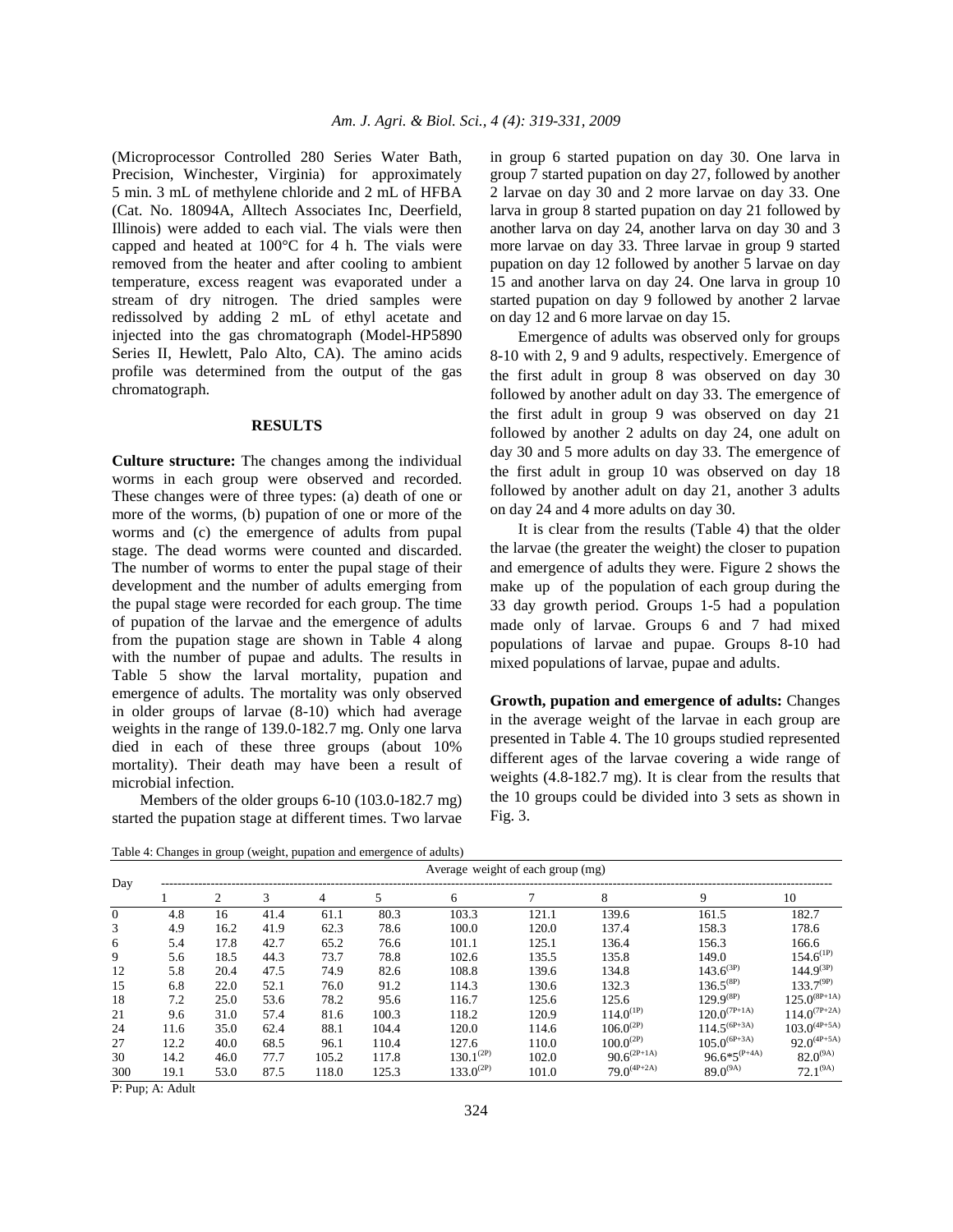(Microprocessor Controlled 280 Series Water Bath, Precision, Winchester, Virginia) for approximately 5 min. 3 mL of methylene chloride and 2 mL of HFBA (Cat. No. 18094A, Alltech Associates Inc, Deerfield, Illinois) were added to each vial. The vials were then capped and heated at 100°C for 4 h. The vials were removed from the heater and after cooling to ambient temperature, excess reagent was evaporated under a stream of dry nitrogen. The dried samples were redissolved by adding 2 mL of ethyl acetate and injected into the gas chromatograph (Model-HP5890 Series II, Hewlett, Palo Alto, CA). The amino acids profile was determined from the output of the gas chromatograph.

#### **RESULTS**

**Culture structure:** The changes among the individual worms in each group were observed and recorded. These changes were of three types: (a) death of one or more of the worms, (b) pupation of one or more of the worms and (c) the emergence of adults from pupal stage. The dead worms were counted and discarded. The number of worms to enter the pupal stage of their development and the number of adults emerging from the pupal stage were recorded for each group. The time of pupation of the larvae and the emergence of adults from the pupation stage are shown in Table 4 along with the number of pupae and adults. The results in Table 5 show the larval mortality, pupation and emergence of adults. The mortality was only observed in older groups of larvae (8-10) which had average weights in the range of 139.0-182.7 mg. Only one larva died in each of these three groups (about 10% mortality). Their death may have been a result of microbial infection.

 Members of the older groups 6-10 (103.0-182.7 mg) started the pupation stage at different times. Two larvae in group 6 started pupation on day 30. One larva in group 7 started pupation on day 27, followed by another 2 larvae on day 30 and 2 more larvae on day 33. One larva in group 8 started pupation on day 21 followed by another larva on day 24, another larva on day 30 and 3 more larvae on day 33. Three larvae in group 9 started pupation on day 12 followed by another 5 larvae on day 15 and another larva on day 24. One larva in group 10 started pupation on day 9 followed by another 2 larvae on day 12 and 6 more larvae on day 15.

 Emergence of adults was observed only for groups 8-10 with 2, 9 and 9 adults, respectively. Emergence of the first adult in group 8 was observed on day 30 followed by another adult on day 33. The emergence of the first adult in group 9 was observed on day 21 followed by another 2 adults on day 24, one adult on day 30 and 5 more adults on day 33. The emergence of the first adult in group 10 was observed on day 18 followed by another adult on day 21, another 3 adults on day 24 and 4 more adults on day 30.

 It is clear from the results (Table 4) that the older the larvae (the greater the weight) the closer to pupation and emergence of adults they were. Figure 2 shows the make up of the population of each group during the 33 day growth period. Groups 1-5 had a population made only of larvae. Groups 6 and 7 had mixed populations of larvae and pupae. Groups 8-10 had mixed populations of larvae, pupae and adults.

**Growth, pupation and emergence of adults:** Changes in the average weight of the larvae in each group are presented in Table 4. The 10 groups studied represented different ages of the larvae covering a wide range of weights (4.8-182.7 mg). It is clear from the results that the 10 groups could be divided into 3 sets as shown in Fig. 3.

Table 4: Changes in group (weight, pupation and emergence of adults)

| Average weight of each group (mg) |      |      |      |       |       |                |       |                             |                   |                   |
|-----------------------------------|------|------|------|-------|-------|----------------|-------|-----------------------------|-------------------|-------------------|
| Day                               |      |      | 3    | 4     | 5     | 6              |       | 8                           | 9                 | 10                |
| $\mathbf{0}$                      | 4.8  | 16   | 41.4 | 61.1  | 80.3  | 103.3          | 121.1 | 139.6                       | 161.5             | 182.7             |
| 3                                 | 4.9  | 16.2 | 41.9 | 62.3  | 78.6  | 100.0          | 120.0 | 137.4                       | 158.3             | 178.6             |
| 6                                 | 5.4  | 17.8 | 42.7 | 65.2  | 76.6  | 101.1          | 125.1 | 136.4                       | 156.3             | 166.6             |
| 9                                 | 5.6  | 18.5 | 44.3 | 73.7  | 78.8  | 102.6          | 135.5 | 135.8                       | 149.0             | $154.6^{(1P)}$    |
| 12                                | 5.8  | 20.4 | 47.5 | 74.9  | 82.6  | 108.8          | 139.6 | 134.8                       | $143.6^{(3P)}$    | $144.9^{(3P)}$    |
| 15                                | 6.8  | 22.0 | 52.1 | 76.0  | 91.2  | 114.3          | 130.6 | 132.3                       | $136.5^{(8P)}$    | $133.7^{(9P)}$    |
| 18                                | 7.2  | 25.0 | 53.6 | 78.2  | 95.6  | 116.7          | 125.6 | 125.6                       | $129.9^{(8P)}$    | $125.0^{(8P+1A)}$ |
| 21                                | 9.6  | 31.0 | 57.4 | 81.6  | 100.3 | 118.2          | 120.9 | $114.0^{(1P)}$              | $120.0^{(7P+1A)}$ | $114.0^{(7P+2A)}$ |
| 24                                | 11.6 | 35.0 | 62.4 | 88.1  | 104.4 | 120.0          | 114.6 | $106.0^{(2P)}$              | $114.5^{(6P+3A)}$ | $103.0^{(4P+5A)}$ |
| 27                                | 12.2 | 40.0 | 68.5 | 96.1  | 110.4 | 127.6          | 110.0 | $100.0^{(2P)}$              | $105.0^{(6P+3A)}$ | $92.0^{(4P+5A)}$  |
| 30                                | 14.2 | 46.0 | 77.7 | 105.2 | 117.8 | $130.1^{(2P)}$ | 102.0 | $90.6^{\left(2P+1A\right)}$ | $96.6*5^{(P+A)}$  | $82.0^{(9A)}$     |
| 300                               | 19.1 | 53.0 | 87.5 | 118.0 | 125.3 | $133.0^{(2P)}$ | 101.0 | $79.0^{(4P+2A)}$            | $89.0^{(9A)}$     | $72.1^{(9A)}$     |

P: Pup; A: Adult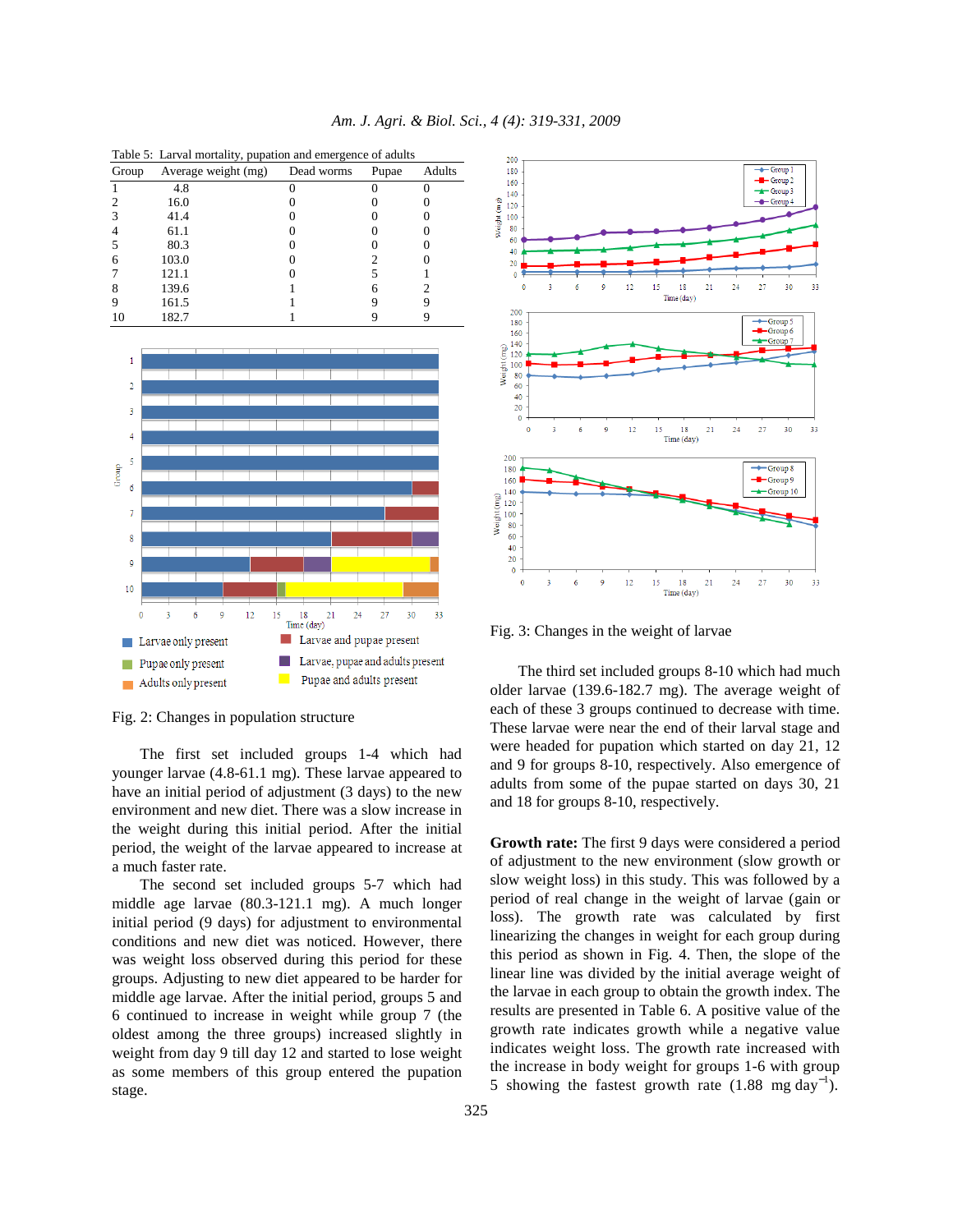| Table 5: Larval mortality, pupation and emergence of adults |                     |            |       |        |  |
|-------------------------------------------------------------|---------------------|------------|-------|--------|--|
| Group                                                       | Average weight (mg) | Dead worms | Pupae | Adults |  |
|                                                             | 4.8                 |            |       |        |  |
|                                                             | 16.0                |            |       |        |  |
|                                                             | 41.4                |            |       |        |  |
|                                                             | 61.1                |            |       |        |  |
|                                                             | 80.3                |            |       |        |  |
|                                                             | 103.0               |            |       |        |  |
|                                                             | 121.1               |            |       |        |  |
|                                                             | 139.6               |            |       |        |  |
|                                                             | 161.5               |            |       |        |  |
|                                                             | 182.7               |            |       |        |  |



Fig. 2: Changes in population structure

 The first set included groups 1-4 which had younger larvae (4.8-61.1 mg). These larvae appeared to have an initial period of adjustment (3 days) to the new environment and new diet. There was a slow increase in the weight during this initial period. After the initial period, the weight of the larvae appeared to increase at a much faster rate.

 The second set included groups 5-7 which had middle age larvae (80.3-121.1 mg). A much longer initial period (9 days) for adjustment to environmental conditions and new diet was noticed. However, there was weight loss observed during this period for these groups. Adjusting to new diet appeared to be harder for middle age larvae. After the initial period, groups 5 and 6 continued to increase in weight while group 7 (the oldest among the three groups) increased slightly in weight from day 9 till day 12 and started to lose weight as some members of this group entered the pupation stage.



Fig. 3: Changes in the weight of larvae

 The third set included groups 8-10 which had much older larvae (139.6-182.7 mg). The average weight of each of these 3 groups continued to decrease with time. These larvae were near the end of their larval stage and were headed for pupation which started on day 21, 12 and 9 for groups 8-10, respectively. Also emergence of adults from some of the pupae started on days 30, 21 and 18 for groups 8-10, respectively.

**Growth rate:** The first 9 days were considered a period of adjustment to the new environment (slow growth or slow weight loss) in this study. This was followed by a period of real change in the weight of larvae (gain or loss). The growth rate was calculated by first linearizing the changes in weight for each group during this period as shown in Fig. 4. Then, the slope of the linear line was divided by the initial average weight of the larvae in each group to obtain the growth index. The results are presented in Table 6. A positive value of the growth rate indicates growth while a negative value indicates weight loss. The growth rate increased with the increase in body weight for groups 1-6 with group 5 showing the fastest growth rate  $(1.88 \text{ mg day}^{-1})$ .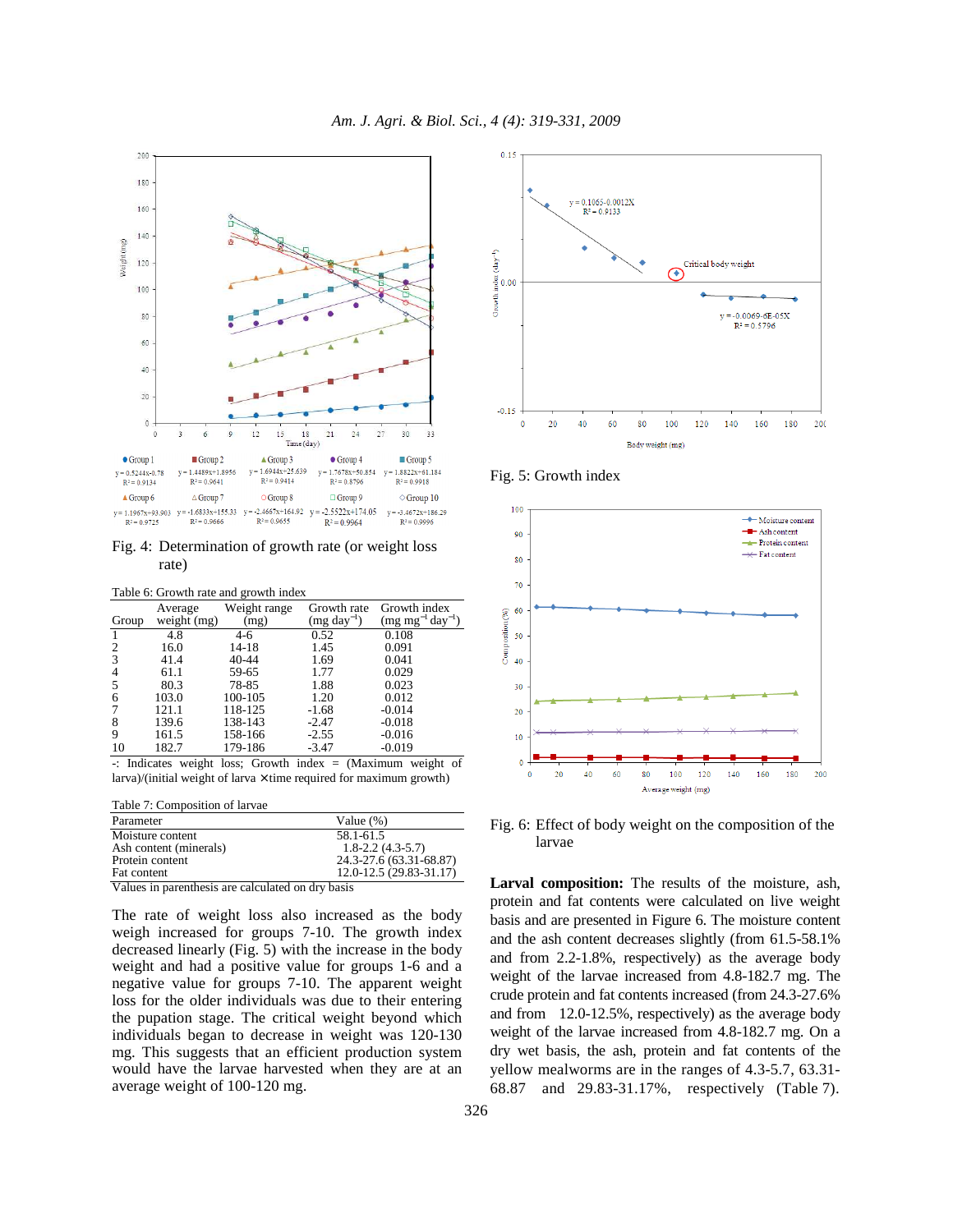

Fig. 4: Determination of growth rate (or weight loss rate)

|       | Table 6: Growth rate and growth index |                      |                                |                                        |  |  |  |
|-------|---------------------------------------|----------------------|--------------------------------|----------------------------------------|--|--|--|
| Group | Average<br>weight (mg)                | Weight range<br>(mg) | Growth rate<br>$(mg day^{-1})$ | Growth index<br>$(mg mg^{-1}day^{-1})$ |  |  |  |
|       | 4.8                                   | $4-6$                | 0.52                           | 0.108                                  |  |  |  |
| 2     | 16.0                                  | 14-18                | 1.45                           | 0.091                                  |  |  |  |
| 3     | 41.4                                  | $40 - 44$            | 1.69                           | 0.041                                  |  |  |  |
| 4     | 61.1                                  | 59-65                | 1.77                           | 0.029                                  |  |  |  |
|       | 80.3                                  | 78-85                | 1.88                           | 0.023                                  |  |  |  |
| 6     | 103.0                                 | 100-105              | 1.20                           | 0.012                                  |  |  |  |
|       | 121.1                                 | 118-125              | $-1.68$                        | $-0.014$                               |  |  |  |
| 8     | 139.6                                 | 138-143              | $-2.47$                        | $-0.018$                               |  |  |  |
| 9     | 161.5                                 | 158-166              | $-2.55$                        | $-0.016$                               |  |  |  |
| 10    | 182.7                                 | 179-186              | $-3.47$                        | $-0.019$                               |  |  |  |

-: Indicates weight loss; Growth index = (Maximum weight of larva)/(initial weight of larva  $\times$  time required for maximum growth)

Table 7: Composition of larvae

| Parameter                                                                                                                                                                                                                     | Value $(\%)$                 |
|-------------------------------------------------------------------------------------------------------------------------------------------------------------------------------------------------------------------------------|------------------------------|
| Moisture content                                                                                                                                                                                                              | 58.1-61.5                    |
| Ash content (minerals)                                                                                                                                                                                                        | $1.8 - 2.2$ (4.3 - 5.7)      |
| Protein content                                                                                                                                                                                                               | 24.3-27.6 (63.31-68.87)      |
| Fat content                                                                                                                                                                                                                   | $12.0 - 12.5(29.83 - 31.17)$ |
| All the continuing continuing and continuation of the continuing and the continuing continuing and the continuing continuing and the continuing continuing and the continuing continuing continuing and continuing continuing |                              |

Values in parenthesis are calculated on dry basis

The rate of weight loss also increased as the body weigh increased for groups 7-10. The growth index decreased linearly (Fig. 5) with the increase in the body weight and had a positive value for groups 1-6 and a negative value for groups 7-10. The apparent weight loss for the older individuals was due to their entering the pupation stage. The critical weight beyond which individuals began to decrease in weight was 120-130 mg. This suggests that an efficient production system would have the larvae harvested when they are at an average weight of 100-120 mg.



Fig. 5: Growth index



Fig. 6: Effect of body weight on the composition of the larvae

**Larval composition:** The results of the moisture, ash, protein and fat contents were calculated on live weight basis and are presented in Figure 6. The moisture content and the ash content decreases slightly (from 61.5-58.1% and from 2.2-1.8%, respectively) as the average body weight of the larvae increased from 4.8-182.7 mg. The crude protein and fat contents increased (from 24.3-27.6% and from 12.0-12.5%, respectively) as the average body weight of the larvae increased from 4.8-182.7 mg. On a dry wet basis, the ash, protein and fat contents of the yellow mealworms are in the ranges of 4.3-5.7, 63.31- 68.87 and 29.83-31.17%, respectively (Table 7).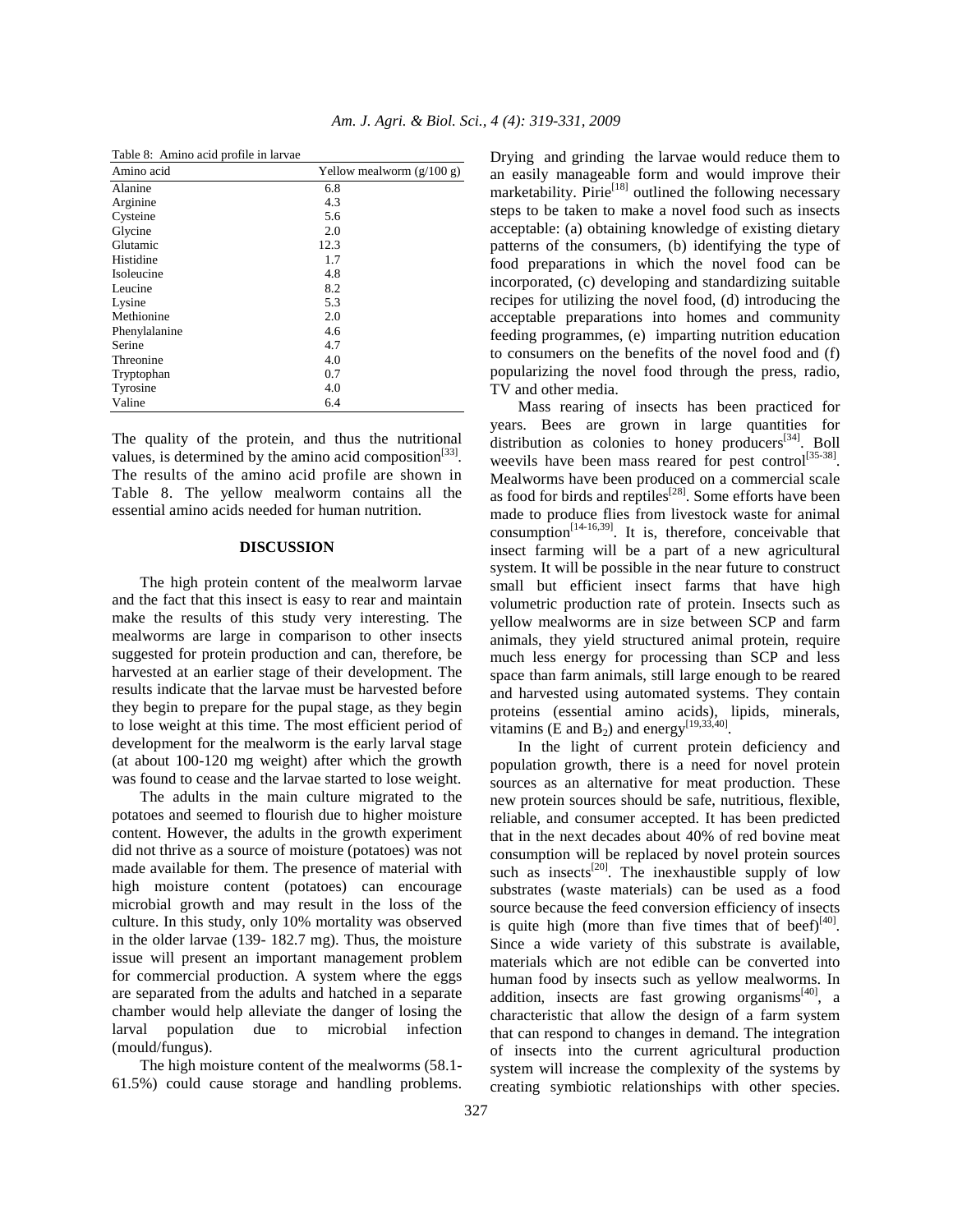| Yellow mealworm $(g/100 g)$ |
|-----------------------------|
| 6.8                         |
| 4.3                         |
| 5.6                         |
| 2.0                         |
| 12.3                        |
| 1.7                         |
| 4.8                         |
| 8.2                         |
| 5.3                         |
| 2.0                         |
| 4.6                         |
| 4.7                         |
| 4.0                         |
| 0.7                         |
| 4.0                         |
| 6.4                         |
|                             |

Table 8: Amino acid profile in larvae

The quality of the protein, and thus the nutritional values, is determined by the amino acid composition $[33]$ . The results of the amino acid profile are shown in Table 8. The yellow mealworm contains all the essential amino acids needed for human nutrition.

## **DISCUSSION**

 The high protein content of the mealworm larvae and the fact that this insect is easy to rear and maintain make the results of this study very interesting. The mealworms are large in comparison to other insects suggested for protein production and can, therefore, be harvested at an earlier stage of their development. The results indicate that the larvae must be harvested before they begin to prepare for the pupal stage, as they begin to lose weight at this time. The most efficient period of development for the mealworm is the early larval stage (at about 100-120 mg weight) after which the growth was found to cease and the larvae started to lose weight.

 The adults in the main culture migrated to the potatoes and seemed to flourish due to higher moisture content. However, the adults in the growth experiment did not thrive as a source of moisture (potatoes) was not made available for them. The presence of material with high moisture content (potatoes) can encourage microbial growth and may result in the loss of the culture. In this study, only 10% mortality was observed in the older larvae (139- 182.7 mg). Thus, the moisture issue will present an important management problem for commercial production. A system where the eggs are separated from the adults and hatched in a separate chamber would help alleviate the danger of losing the larval population due to microbial infection (mould/fungus).

 The high moisture content of the mealworms (58.1- 61.5%) could cause storage and handling problems. Drying and grinding the larvae would reduce them to an easily manageable form and would improve their marketability. Pirie<sup>[18]</sup> outlined the following necessary steps to be taken to make a novel food such as insects acceptable: (a) obtaining knowledge of existing dietary patterns of the consumers, (b) identifying the type of food preparations in which the novel food can be incorporated, (c) developing and standardizing suitable recipes for utilizing the novel food, (d) introducing the acceptable preparations into homes and community feeding programmes, (e) imparting nutrition education to consumers on the benefits of the novel food and (f) popularizing the novel food through the press, radio, TV and other media.

 Mass rearing of insects has been practiced for years. Bees are grown in large quantities for distribution as colonies to honey producers<sup>[34]</sup>. Boll weevils have been mass reared for pest control<sup>[35-38]</sup>. Mealworms have been produced on a commercial scale as food for birds and reptiles<sup>[28]</sup>. Some efforts have been made to produce flies from livestock waste for animal consumption<sup> $[14-16,39]$ </sup>. It is, therefore, conceivable that insect farming will be a part of a new agricultural system. It will be possible in the near future to construct small but efficient insect farms that have high volumetric production rate of protein. Insects such as yellow mealworms are in size between SCP and farm animals, they yield structured animal protein, require much less energy for processing than SCP and less space than farm animals, still large enough to be reared and harvested using automated systems. They contain proteins (essential amino acids), lipids, minerals, vitamins (E and  $B_2$ ) and energy<sup>[19,33,40]</sup>.

 In the light of current protein deficiency and population growth, there is a need for novel protein sources as an alternative for meat production. These new protein sources should be safe, nutritious, flexible, reliable, and consumer accepted. It has been predicted that in the next decades about 40% of red bovine meat consumption will be replaced by novel protein sources such as insects<sup>[20]</sup>. The inexhaustible supply of low substrates (waste materials) can be used as a food source because the feed conversion efficiency of insects is quite high (more than five times that of beef) $[40]$ . Since a wide variety of this substrate is available, materials which are not edible can be converted into human food by insects such as yellow mealworms. In addition, insects are fast growing organisms $[40]$ , a characteristic that allow the design of a farm system that can respond to changes in demand. The integration of insects into the current agricultural production system will increase the complexity of the systems by creating symbiotic relationships with other species.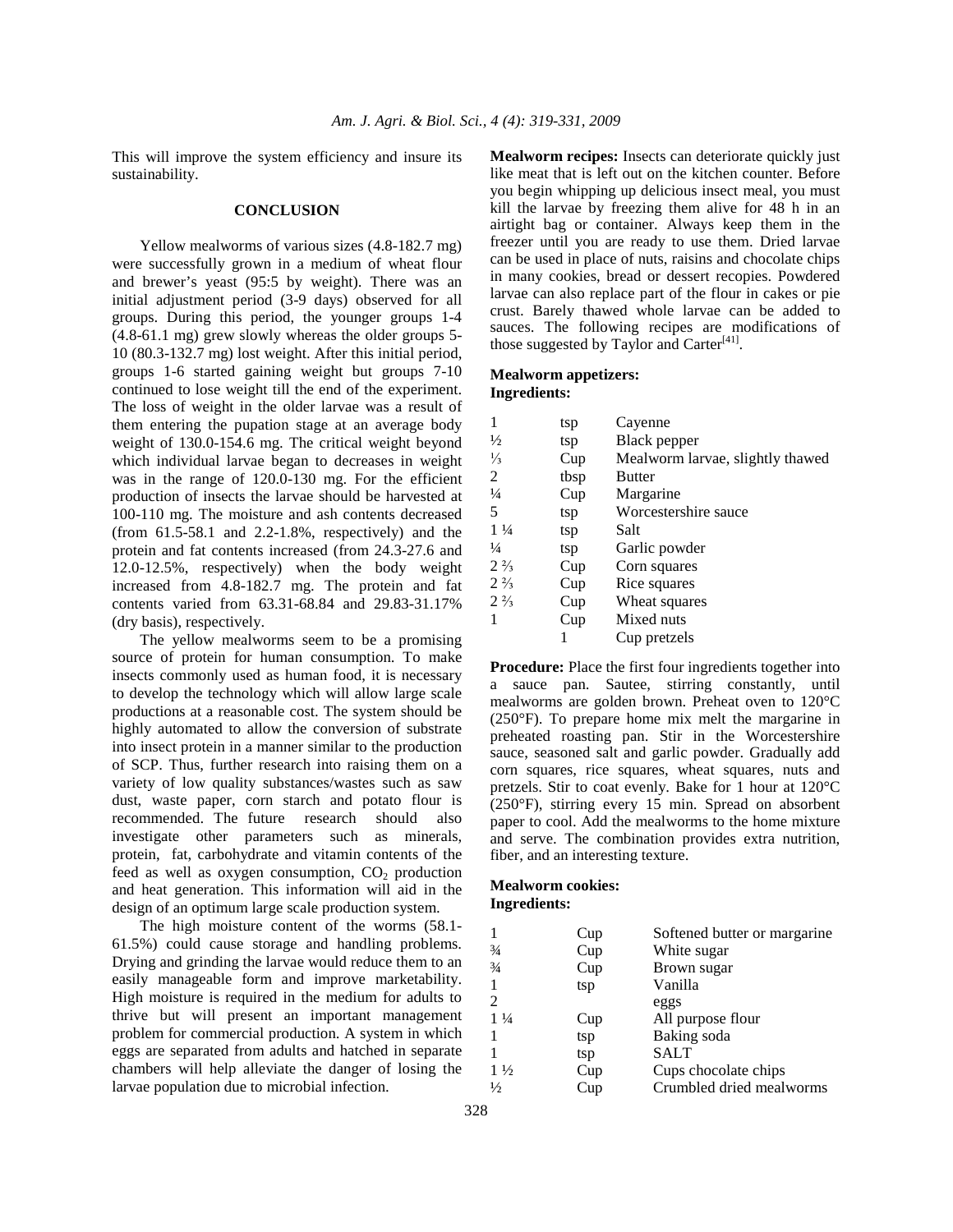This will improve the system efficiency and insure its sustainability.

#### **CONCLUSION**

 Yellow mealworms of various sizes (4.8-182.7 mg) were successfully grown in a medium of wheat flour and brewer's yeast (95:5 by weight). There was an initial adjustment period (3-9 days) observed for all groups. During this period, the younger groups 1-4 (4.8-61.1 mg) grew slowly whereas the older groups 5- 10 (80.3-132.7 mg) lost weight. After this initial period, groups 1-6 started gaining weight but groups 7-10 continued to lose weight till the end of the experiment. The loss of weight in the older larvae was a result of them entering the pupation stage at an average body weight of 130.0-154.6 mg. The critical weight beyond which individual larvae began to decreases in weight was in the range of 120.0-130 mg. For the efficient production of insects the larvae should be harvested at 100-110 mg. The moisture and ash contents decreased (from  $61.5-58.1$  and  $2.2-1.8\%$ , respectively) and the protein and fat contents increased (from 24.3-27.6 and 12.0-12.5%, respectively) when the body weight increased from 4.8-182.7 mg. The protein and fat contents varied from 63.31-68.84 and 29.83-31.17% (dry basis), respectively.

 The yellow mealworms seem to be a promising source of protein for human consumption. To make insects commonly used as human food, it is necessary to develop the technology which will allow large scale productions at a reasonable cost. The system should be highly automated to allow the conversion of substrate into insect protein in a manner similar to the production of SCP. Thus, further research into raising them on a variety of low quality substances/wastes such as saw dust, waste paper, corn starch and potato flour is recommended. The future research should also investigate other parameters such as minerals, protein, fat, carbohydrate and vitamin contents of the feed as well as oxygen consumption,  $CO<sub>2</sub>$  production and heat generation. This information will aid in the design of an optimum large scale production system.

 The high moisture content of the worms (58.1- 61.5%) could cause storage and handling problems. Drying and grinding the larvae would reduce them to an easily manageable form and improve marketability. High moisture is required in the medium for adults to thrive but will present an important management problem for commercial production. A system in which eggs are separated from adults and hatched in separate chambers will help alleviate the danger of losing the larvae population due to microbial infection.

**Mealworm recipes:** Insects can deteriorate quickly just like meat that is left out on the kitchen counter. Before you begin whipping up delicious insect meal, you must kill the larvae by freezing them alive for 48 h in an airtight bag or container. Always keep them in the freezer until you are ready to use them. Dried larvae can be used in place of nuts, raisins and chocolate chips in many cookies, bread or dessert recopies. Powdered larvae can also replace part of the flour in cakes or pie crust. Barely thawed whole larvae can be added to sauces. The following recipes are modifications of those suggested by Taylor and Carter $^{[41]}$ .

## **Mealworm appetizers: Ingredients:**

| 1              | tsp  | Cayenne                          |
|----------------|------|----------------------------------|
| $\frac{1}{2}$  | tsp  | Black pepper                     |
| $\frac{1}{3}$  | Cup  | Mealworm larvae, slightly thawed |
| 2              | tbsp | <b>Butter</b>                    |
| $\frac{1}{4}$  | Cup  | Margarine                        |
| 5              | tsp  | Worcestershire sauce             |
| $1\frac{1}{4}$ | tsp  | Salt                             |
| $\frac{1}{4}$  | tsp  | Garlic powder                    |
| $2\frac{2}{3}$ | Cup  | Corn squares                     |
| $2\frac{2}{3}$ | Cup  | Rice squares                     |
| $2\frac{2}{3}$ | Cup  | Wheat squares                    |
| 1              | Cup  | Mixed nuts                       |
|                |      | Cup pretzels                     |

**Procedure:** Place the first four ingredients together into a sauce pan. Sautee, stirring constantly, until mealworms are golden brown. Preheat oven to 120°C (250°F). To prepare home mix melt the margarine in preheated roasting pan. Stir in the Worcestershire sauce, seasoned salt and garlic powder. Gradually add corn squares, rice squares, wheat squares, nuts and pretzels. Stir to coat evenly. Bake for 1 hour at 120°C (250°F), stirring every 15 min. Spread on absorbent paper to cool. Add the mealworms to the home mixture and serve. The combination provides extra nutrition, fiber, and an interesting texture.

#### **Mealworm cookies: Ingredients:**

| 1              | Cup | Softened butter or margarine |
|----------------|-----|------------------------------|
| $\frac{3}{4}$  | Cup | White sugar                  |
| $\frac{3}{4}$  | Cup | Brown sugar                  |
| 1              | tsp | Vanilla                      |
| 2              |     | eggs                         |
| $1\frac{1}{4}$ | Cup | All purpose flour            |
| 1              | tsp | Baking soda                  |
| 1              | tsp | <b>SALT</b>                  |
| $1\frac{1}{2}$ | Cup | Cups chocolate chips         |
| $\frac{1}{2}$  | Cup | Crumbled dried mealworms     |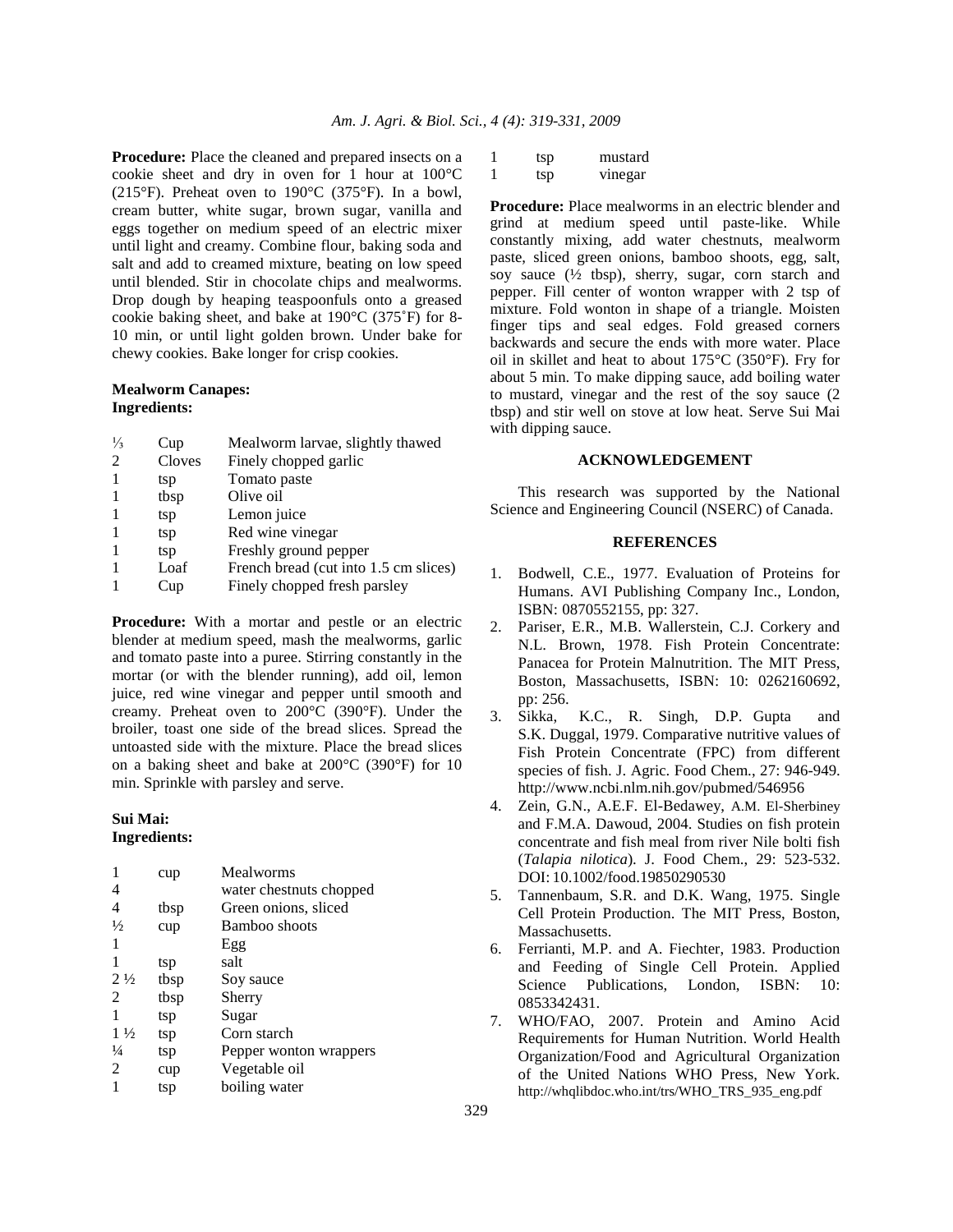**Procedure:** Place the cleaned and prepared insects on a cookie sheet and dry in oven for 1 hour at 100°C (215°F). Preheat oven to 190°C (375°F). In a bowl, cream butter, white sugar, brown sugar, vanilla and eggs together on medium speed of an electric mixer until light and creamy. Combine flour, baking soda and salt and add to creamed mixture, beating on low speed until blended. Stir in chocolate chips and mealworms. Drop dough by heaping teaspoonfuls onto a greased cookie baking sheet, and bake at 190°C (375˚F) for 8- 10 min, or until light golden brown. Under bake for chewy cookies. Bake longer for crisp cookies.

### **Mealworm Canapes: Ingredients:**

| $\frac{1}{3}$ | Cup    | Mealworm larvae, slightly thawed      |
|---------------|--------|---------------------------------------|
| 2             | Cloves | Finely chopped garlic                 |
|               | tsp    | Tomato paste                          |
| -1            | tbsp   | Olive oil                             |
|               | tsp    | Lemon juice                           |
|               | tsp    | Red wine vinegar                      |
|               | tsp    | Freshly ground pepper                 |
|               | Loaf   | French bread (cut into 1.5 cm slices) |
|               | Cup    | Finely chopped fresh parsley          |
|               |        |                                       |

**Procedure:** With a mortar and pestle or an electric blender at medium speed, mash the mealworms, garlic and tomato paste into a puree. Stirring constantly in the mortar (or with the blender running), add oil, lemon juice, red wine vinegar and pepper until smooth and creamy. Preheat oven to 200°C (390°F). Under the broiler, toast one side of the bread slices. Spread the untoasted side with the mixture. Place the bread slices on a baking sheet and bake at 200°C (390°F) for 10 min. Sprinkle with parsley and serve.

# **Sui Mai:**

# **Ingredients:**

| cup  | Mealworms               |
|------|-------------------------|
|      | water chestnuts chopped |
| tbsp | Green onions, sliced    |
| cup  | Bamboo shoots           |
|      | Egg                     |
| tsp  | salt                    |
| tbsp | Soy sauce               |
| tbsp | Sherry                  |
| tsp  | Sugar                   |
| tsp  | Corn starch             |
| tsp  | Pepper wonton wrappers  |
| cup  | Vegetable oil           |
| tsp  | boiling water           |
|      |                         |

| tsp | mustard |
|-----|---------|
| tsp | vinegar |

**Procedure:** Place mealworms in an electric blender and grind at medium speed until paste-like. While constantly mixing, add water chestnuts, mealworm paste, sliced green onions, bamboo shoots, egg, salt, soy sauce  $(\frac{1}{2} \text{ tbsp})$ , sherry, sugar, corn starch and pepper. Fill center of wonton wrapper with 2 tsp of mixture. Fold wonton in shape of a triangle. Moisten finger tips and seal edges. Fold greased corners backwards and secure the ends with more water. Place oil in skillet and heat to about 175°C (350°F). Fry for about 5 min. To make dipping sauce, add boiling water to mustard, vinegar and the rest of the soy sauce (2 tbsp) and stir well on stove at low heat. Serve Sui Mai with dipping sauce.

## **ACKNOWLEDGEMENT**

 This research was supported by the National Science and Engineering Council (NSERC) of Canada.

#### **REFERENCES**

- 1. Bodwell, C.E., 1977. Evaluation of Proteins for Humans. AVI Publishing Company Inc., London, ISBN: 0870552155, pp: 327.
- 2. Pariser, E.R., M.B. Wallerstein, C.J. Corkery and N.L. Brown, 1978. Fish Protein Concentrate: Panacea for Protein Malnutrition. The MIT Press, Boston, Massachusetts, ISBN: 10: 0262160692, pp: 256.
- 3. Sikka, K.C., R. Singh, D.P. Gupta and S.K. Duggal, 1979. Comparative nutritive values of Fish Protein Concentrate (FPC) from different species of fish. J. Agric. Food Chem., 27: 946-949. http://www.ncbi.nlm.nih.gov/pubmed/546956
- 4. Zein, G.N., A.E.F. El-Bedawey, A.M. El-Sherbiney and F.M.A. Dawoud, 2004. Studies on fish protein concentrate and fish meal from river Nile bolti fish (*Talapia nilotica*). J. Food Chem., 29: 523-532. DOI: 10.1002/food.19850290530
- 5. Tannenbaum, S.R. and D.K. Wang, 1975. Single Cell Protein Production. The MIT Press, Boston, Massachusetts.
- 6. Ferrianti, M.P. and A. Fiechter, 1983. Production and Feeding of Single Cell Protein. Applied Science Publications, London, ISBN: 10: 0853342431.
- 7. WHO/FAO, 2007. Protein and Amino Acid Requirements for Human Nutrition. World Health Organization/Food and Agricultural Organization of the United Nations WHO Press, New York. http://whqlibdoc.who.int/trs/WHO\_TRS\_935\_eng.pdf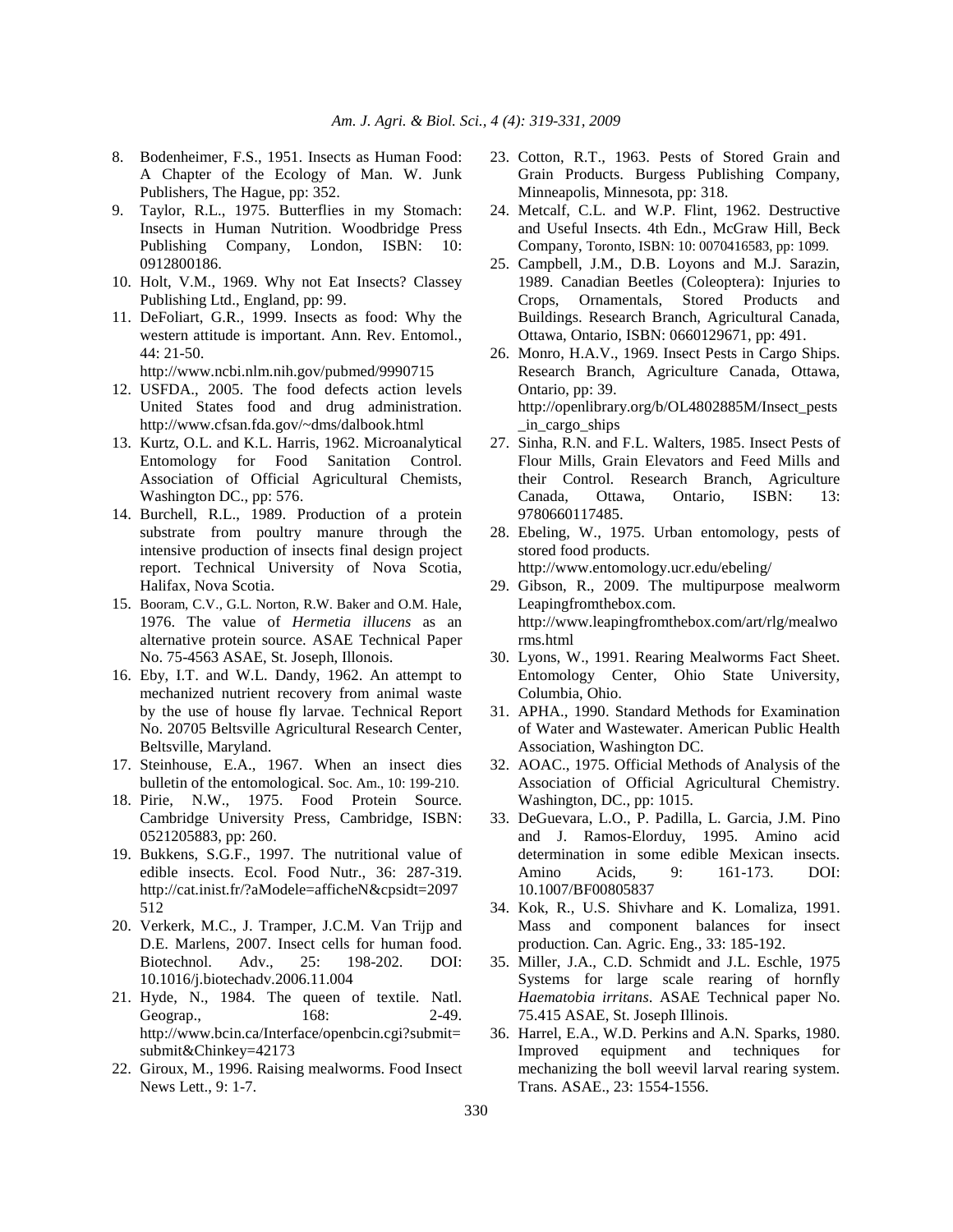- 8. Bodenheimer, F.S., 1951. Insects as Human Food: A Chapter of the Ecology of Man. W. Junk Publishers, The Hague, pp: 352.
- 9. Taylor, R.L., 1975. Butterflies in my Stomach: Insects in Human Nutrition. Woodbridge Press Publishing Company, London, ISBN: 10: 0912800186.
- 10. Holt, V.M., 1969. Why not Eat Insects? Classey Publishing Ltd., England, pp: 99.
- 11. DeFoliart, G.R., 1999. Insects as food: Why the western attitude is important. Ann. Rev. Entomol., 44: 21-50.

http://www.ncbi.nlm.nih.gov/pubmed/9990715

- 12. USFDA., 2005. The food defects action levels United States food and drug administration. http://www.cfsan.fda.gov/~dms/dalbook.html
- 13. Kurtz, O.L. and K.L. Harris, 1962. Microanalytical Entomology for Food Sanitation Control. Association of Official Agricultural Chemists, Washington DC., pp: 576.
- 14. Burchell, R.L., 1989. Production of a protein substrate from poultry manure through the intensive production of insects final design project report. Technical University of Nova Scotia, Halifax, Nova Scotia.
- 15. Booram, C.V., G.L. Norton, R.W. Baker and O.M. Hale, 1976. The value of *Hermetia illucens* as an alternative protein source. ASAE Technical Paper No. 75-4563 ASAE, St. Joseph, Illonois.
- 16. Eby, I.T. and W.L. Dandy, 1962. An attempt to mechanized nutrient recovery from animal waste by the use of house fly larvae. Technical Report No. 20705 Beltsville Agricultural Research Center, Beltsville, Maryland.
- 17. Steinhouse, E.A., 1967. When an insect dies bulletin of the entomological. Soc. Am., 10: 199-210.
- 18. Pirie, N.W., 1975. Food Protein Source. Cambridge University Press, Cambridge, ISBN: 0521205883, pp: 260.
- 19. Bukkens, S.G.F., 1997. The nutritional value of edible insects. Ecol. Food Nutr., 36: 287-319. http://cat.inist.fr/?aModele=afficheN&cpsidt=2097 512
- 20. Verkerk, M.C., J. Tramper, J.C.M. Van Trijp and D.E. Marlens, 2007. Insect cells for human food. Biotechnol. Adv., 25: 198-202. DOI: 10.1016/j.biotechadv.2006.11.004
- 21. Hyde, N., 1984. The queen of textile. Natl. Geograp., 168: 2-49. http://www.bcin.ca/Interface/openbcin.cgi?submit= submit&Chinkey=42173
- 22. Giroux, M., 1996. Raising mealworms. Food Insect News Lett., 9: 1-7.
- 23. Cotton, R.T., 1963. Pests of Stored Grain and Grain Products. Burgess Publishing Company, Minneapolis, Minnesota, pp: 318.
- 24. Metcalf, C.L. and W.P. Flint, 1962. Destructive and Useful Insects. 4th Edn., McGraw Hill, Beck Company, Toronto, ISBN: 10: 0070416583, pp: 1099.
- 25. Campbell, J.M., D.B. Loyons and M.J. Sarazin, 1989. Canadian Beetles (Coleoptera): Injuries to Crops, Ornamentals, Stored Products and Buildings. Research Branch, Agricultural Canada, Ottawa, Ontario, ISBN: 0660129671, pp: 491.
- 26. Monro, H.A.V., 1969. Insect Pests in Cargo Ships. Research Branch, Agriculture Canada, Ottawa, Ontario, pp: 39. http://openlibrary.org/b/OL4802885M/Insect\_pests \_in\_cargo\_ships
- 27. Sinha, R.N. and F.L. Walters, 1985. Insect Pests of Flour Mills, Grain Elevators and Feed Mills and their Control. Research Branch, Agriculture Canada, Ottawa, Ontario, ISBN: 13: 9780660117485.
- 28. Ebeling, W., 1975. Urban entomology, pests of stored food products. http://www.entomology.ucr.edu/ebeling/
- 29. Gibson, R., 2009. The multipurpose mealworm Leapingfromthebox.com. http://www.leapingfromthebox.com/art/rlg/mealwo rms.html
- 30. Lyons, W., 1991. Rearing Mealworms Fact Sheet. Entomology Center, Ohio State University, Columbia, Ohio.
- 31. APHA., 1990. Standard Methods for Examination of Water and Wastewater. American Public Health Association, Washington DC.
- 32. AOAC., 1975. Official Methods of Analysis of the Association of Official Agricultural Chemistry. Washington, DC., pp: 1015.
- 33. DeGuevara, L.O., P. Padilla, L. Garcia, J.M. Pino and J. Ramos-Elorduy, 1995. Amino acid determination in some edible Mexican insects. Amino Acids, 9: 161-173. DOI: 10.1007/BF00805837
- 34. Kok, R., U.S. Shivhare and K. Lomaliza, 1991. Mass and component balances for insect production. Can. Agric. Eng., 33: 185-192.
- 35. Miller, J.A., C.D. Schmidt and J.L. Eschle, 1975 Systems for large scale rearing of hornfly *Haematobia irritans*. ASAE Technical paper No. 75.415 ASAE, St. Joseph Illinois.
- 36. Harrel, E.A., W.D. Perkins and A.N. Sparks, 1980. Improved equipment and techniques for mechanizing the boll weevil larval rearing system. Trans. ASAE., 23: 1554-1556.